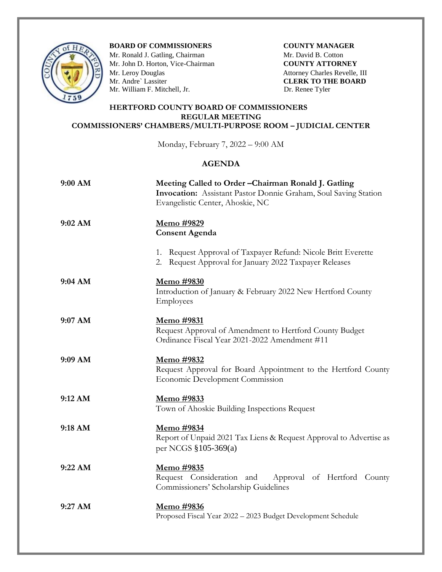

**BOARD OF COMMISSIONERS COUNTY MANAGER** 

Mr. Ronald J. Gatling, Chairman **Mr. David B. Cotton** Mr. John D. Horton, Vice-Chairman **COUNTY ATTORNEY**<br>
Mr. Leroy Douglas Attorney Charles Revelle,<br>
Mr. Andre` Lassiter **CLERK TO THE BOAR** Mr. William F. Mitchell, Jr. Dr. Renee Tyler

Attorney Charles Revelle, III **CLERK TO THE BOARD** 

## **HERTFORD COUNTY BOARD OF COMMISSIONERS REGULAR MEETING COMMISSIONERS' CHAMBERS/MULTI-PURPOSE ROOM – JUDICIAL CENTER**

Monday, February 7, 2022 – 9:00 AM

## **AGENDA**

| $9:00$ AM | Meeting Called to Order - Chairman Ronald J. Gatling<br>Invocation: Assistant Pastor Donnie Graham, Soul Saving Station<br>Evangelistic Center, Ahoskie, NC |
|-----------|-------------------------------------------------------------------------------------------------------------------------------------------------------------|
| 9:02 AM   | <u>Memo</u> #9829<br><b>Consent Agenda</b>                                                                                                                  |
|           | 1. Request Approval of Taxpayer Refund: Nicole Britt Everette<br>2. Request Approval for January 2022 Taxpayer Releases                                     |
| 9:04 AM   | <u>Memo</u> #9830<br>Introduction of January & February 2022 New Hertford County<br>Employees                                                               |
| $9:07$ AM | <u>Memo</u> #9831<br>Request Approval of Amendment to Hertford County Budget<br>Ordinance Fiscal Year 2021-2022 Amendment #11                               |
| 9:09 AM   | Memo #9832<br>Request Approval for Board Appointment to the Hertford County<br><b>Economic Development Commission</b>                                       |
| 9:12 AM   | <u>Memo</u> #9833<br>Town of Ahoskie Building Inspections Request                                                                                           |
| 9:18 AM   | Memo #9834<br>Report of Unpaid 2021 Tax Liens & Request Approval to Advertise as<br>per NCGS §105-369(a)                                                    |
| 9:22 AM   | <u>Memo</u> #9835<br>Request Consideration and<br>Approval of Hertford County<br>Commissioners' Scholarship Guidelines                                      |
| 9:27 AM   | Memo #9836<br>Proposed Fiscal Year 2022 - 2023 Budget Development Schedule                                                                                  |